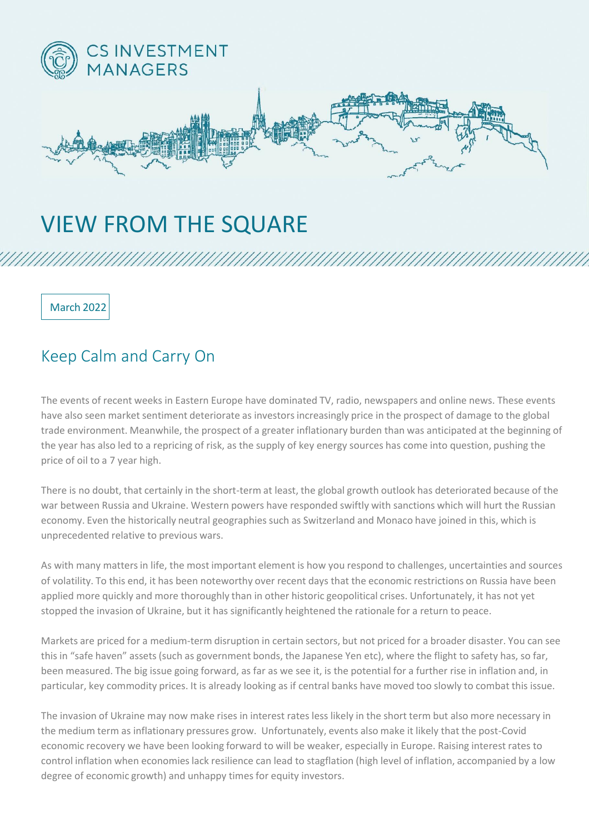

## VIEW FROM THE SQUARE

March 2022

## Keep Calm and Carry On

The events of recent weeks in Eastern Europe have dominated TV, radio, newspapers and online news. These events have also seen market sentiment deteriorate as investors increasingly price in the prospect of damage to the global trade environment. Meanwhile, the prospect of a greater inflationary burden than was anticipated at the beginning of the year has also led to a repricing of risk, as the supply of key energy sources has come into question, pushing the price of oil to a 7 year high.

There is no doubt, that certainly in the short-term at least, the global growth outlook has deteriorated because of the war between Russia and Ukraine. Western powers have responded swiftly with sanctions which will hurt the Russian economy. Even the historically neutral geographies such as Switzerland and Monaco have joined in this, which is unprecedented relative to previous wars.

As with many matters in life, the most important element is how you respond to challenges, uncertainties and sources of volatility. To this end, it has been noteworthy over recent days that the economic restrictions on Russia have been applied more quickly and more thoroughly than in other historic geopolitical crises. Unfortunately, it has not yet stopped the invasion of Ukraine, but it has significantly heightened the rationale for a return to peace.

Markets are priced for a medium-term disruption in certain sectors, but not priced for a broader disaster. You can see this in "safe haven" assets (such as government bonds, the Japanese Yen etc), where the flight to safety has, so far, been measured. The big issue going forward, as far as we see it, is the potential for a further rise in inflation and, in particular, key commodity prices. It is already looking as if central banks have moved too slowly to combat this issue.

The invasion of Ukraine may now make rises in interest rates less likely in the short term but also more necessary in the medium term as inflationary pressures grow. Unfortunately, events also make it likely that the post-Covid economic recovery we have been looking forward to will be weaker, especially in Europe. Raising interest rates to control inflation when economies lack resilience can lead to stagflation (high level of inflation, accompanied by a low degree of economic growth) and unhappy times for equity investors.